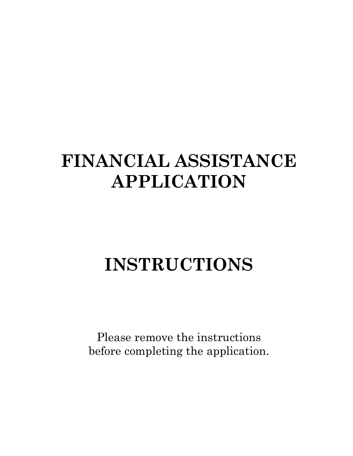# **FINANCIAL ASSISTANCE APPLICATION**

# **INSTRUCTIONS**

Please remove the instructions before completing the application.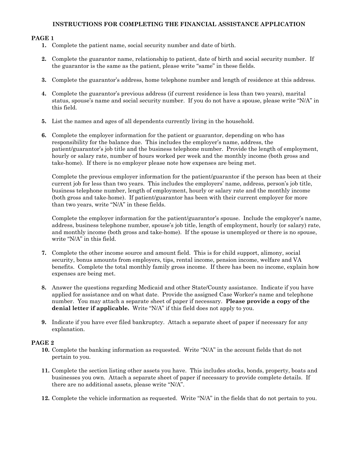## **INSTRUCTIONS FOR COMPLETING THE FINANCIAL ASSISTANCE APPLICATION**

## **PAGE 1**

- **1.** Complete the patient name, social security number and date of birth.
- **2.** Complete the guarantor name, relationship to patient, date of birth and social security number. If the guarantor is the same as the patient, please write "same" in these fields.
- **3.** Complete the guarantor's address, home telephone number and length of residence at this address.
- **4.** Complete the guarantor's previous address (if current residence is less than two years), marital status, spouse's name and social security number. If you do not have a spouse, please write "N/A" in this field.
- **5.** List the names and ages of all dependents currently living in the household.
- **6.** Complete the employer information for the patient or guarantor, depending on who has responsibility for the balance due. This includes the employer's name, address, the patient/guarantor's job title and the business telephone number. Provide the length of employment, hourly or salary rate, number of hours worked per week and the monthly income (both gross and take-home). If there is no employer please note how expenses are being met.

Complete the previous employer information for the patient/guarantor if the person has been at their current job for less than two years. This includes the employers' name, address, person's job title, business telephone number, length of employment, hourly or salary rate and the monthly income (both gross and take-home). If patient/guarantor has been with their current employer for more than two years, write "N/A" in these fields.

Complete the employer information for the patient/guarantor's spouse. Include the employer's name, address, business telephone number, spouse's job title, length of employment, hourly (or salary) rate, and monthly income (both gross and take-home). If the spouse is unemployed or there is no spouse, write "N/A" in this field.

- **7.** Complete the other income source and amount field. This is for child support, alimony, social security, bonus amounts from employers, tips, rental income, pension income, welfare and VA benefits. Complete the total monthly family gross income. If there has been no income, explain how expenses are being met.
- **8.** Answer the questions regarding Medicaid and other State/County assistance. Indicate if you have applied for assistance and on what date. Provide the assigned Case Worker's name and telephone number. You may attach a separate sheet of paper if necessary. **Please provide a copy of the denial letter if applicable.** Write "N/A" if this field does not apply to you.
- **9.** Indicate if you have ever filed bankruptcy. Attach a separate sheet of paper if necessary for any explanation.

#### **PAGE 2**

- **10.** Complete the banking information as requested. Write "N/A" in the account fields that do not pertain to you.
- **11.** Complete the section listing other assets you have. This includes stocks, bonds, property, boats and businesses you own. Attach a separate sheet of paper if necessary to provide complete details. If there are no additional assets, please write "N/A".
- **12.** Complete the vehicle information as requested. Write "N/A" in the fields that do not pertain to you.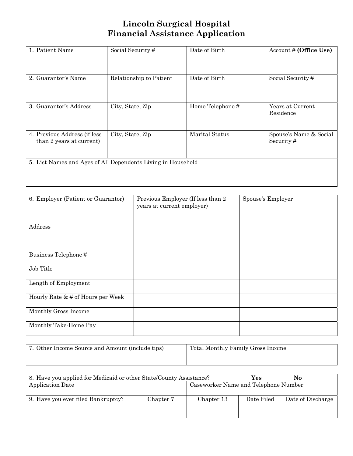# **Lincoln Surgical Hospital Financial Assistance Application**

| 1. Patient Name                                              | Social Security#        | Date of Birth         | Account # (Office Use)              |
|--------------------------------------------------------------|-------------------------|-----------------------|-------------------------------------|
| 2. Guarantor's Name                                          | Relationship to Patient | Date of Birth         | Social Security#                    |
| 3. Guarantor's Address                                       | City, State, Zip        | Home Telephone#       | Years at Current<br>Residence       |
| 4. Previous Address (if less<br>than 2 years at current)     | City, State, Zip        | <b>Marital Status</b> | Spouse's Name & Social<br>Security# |
| 5. List Names and Ages of All Dependents Living in Household |                         |                       |                                     |
|                                                              |                         |                       |                                     |

| 6. Employer (Patient or Guarantor)   | Previous Employer (If less than 2<br>years at current employer) | Spouse's Employer |
|--------------------------------------|-----------------------------------------------------------------|-------------------|
| Address                              |                                                                 |                   |
| Business Telephone#                  |                                                                 |                   |
| Job Title                            |                                                                 |                   |
| Length of Employment                 |                                                                 |                   |
| Hourly Rate $\&$ # of Hours per Week |                                                                 |                   |
| Monthly Gross Income                 |                                                                 |                   |
| Monthly Take-Home Pay                |                                                                 |                   |

| 7. Other Income Source and Amount (include tips) | Total Monthly Family Gross Income |
|--------------------------------------------------|-----------------------------------|
|                                                  |                                   |

|                  |            | Yes                                                                | No.               |
|------------------|------------|--------------------------------------------------------------------|-------------------|
| Application Date |            | Caseworker Name and Telephone Number                               |                   |
|                  |            |                                                                    |                   |
| Chapter 7        | Chapter 13 | Date Filed                                                         | Date of Discharge |
|                  |            |                                                                    |                   |
|                  |            |                                                                    |                   |
|                  |            | 8. Have you applied for Medicaid or other State/County Assistance? |                   |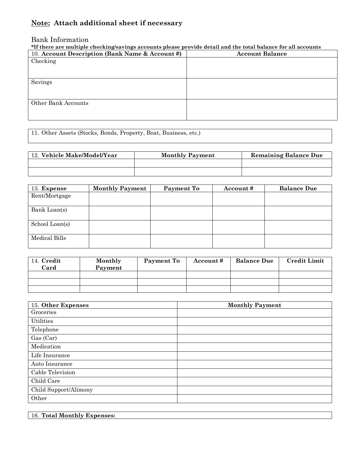## **Note: Attach additional sheet if necessary**

## Bank Information

## **\*If there are multiple checking/savings accounts please provide detail and the total balance for all accounts**

| 10. Account Description (Bank Name & Account #) | <b>Account Balance</b> |
|-------------------------------------------------|------------------------|
| Checking                                        |                        |
|                                                 |                        |
|                                                 |                        |
| Savings                                         |                        |
|                                                 |                        |
|                                                 |                        |
| Other Bank Accounts                             |                        |
|                                                 |                        |
|                                                 |                        |

11. Other Assets (Stocks, Bonds, Property, Boat, Business, etc.)

| 12. Vehicle Make/Model/Year | <b>Monthly Payment</b> | <b>Remaining Balance Due</b> |
|-----------------------------|------------------------|------------------------------|
|                             |                        |                              |
|                             |                        |                              |

| 13. Expense    | <b>Monthly Payment</b> | Payment To | Account# | <b>Balance Due</b> |
|----------------|------------------------|------------|----------|--------------------|
| Rent/Mortgage  |                        |            |          |                    |
| Bank Loan(s)   |                        |            |          |                    |
| School Loan(s) |                        |            |          |                    |
| Medical Bills  |                        |            |          |                    |

| 14. Credit<br>Card | Monthly<br>Payment | Payment To | Account# | <b>Balance Due</b> | <b>Credit Limit</b> |
|--------------------|--------------------|------------|----------|--------------------|---------------------|
|                    |                    |            |          |                    |                     |
|                    |                    |            |          |                    |                     |
|                    |                    |            |          |                    |                     |

| 15. Other Expenses    | <b>Monthly Payment</b> |
|-----------------------|------------------------|
| Groceries             |                        |
| Utilities             |                        |
| Telephone             |                        |
| Gas (Car)             |                        |
| Medication            |                        |
| Life Insurance        |                        |
| Auto Insurance        |                        |
| Cable Television      |                        |
| Child Care            |                        |
| Child Support/Alimony |                        |
| Other                 |                        |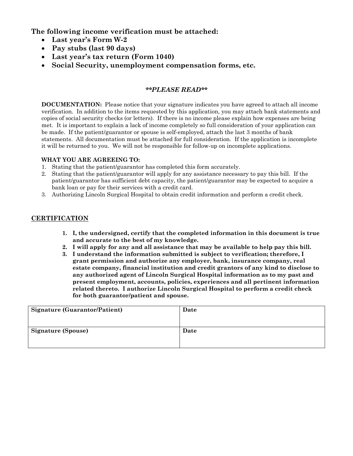**The following income verification must be attached:** 

- **Last year's Form W-2**
- **Pay stubs (last 90 days)**
- **Last year's tax return (Form 1040)**
- **Social Security, unemployment compensation forms, etc.**

## *\*\*PLEASE READ\*\**

**DOCUMENTATION:** Please notice that your signature indicates you have agreed to attach all income verification. In addition to the items requested by this application, you may attach bank statements and copies of social security checks (or letters). If there is no income please explain how expenses are being met. It is important to explain a lack of income completely so full consideration of your application can be made. If the patient/guarantor or spouse is self-employed, attach the last 3 months of bank statements. All documentation must be attached for full consideration. If the application is incomplete it will be returned to you. We will not be responsible for follow-up on incomplete applications.

## **WHAT YOU ARE AGREEING TO:**

- 1. Stating that the patient/guarantor has completed this form accurately.
- 2. Stating that the patient/guarantor will apply for any assistance necessary to pay this bill. If the patient/guarantor has sufficient debt capacity, the patient/guarantor may be expected to acquire a bank loan or pay for their services with a credit card.
- 3. Authorizing Lincoln Surgical Hospital to obtain credit information and perform a credit check.

## **CERTIFICATION**

- **1. I, the undersigned, certify that the completed information in this document is true and accurate to the best of my knowledge.**
- **2. I will apply for any and all assistance that may be available to help pay this bill.**
- **3. I understand the information submitted is subject to verification; therefore, I grant permission and authorize any employer, bank, insurance company, real estate company, financial institution and credit grantors of any kind to disclose to any authorized agent of Lincoln Surgical Hospital information as to my past and present employment, accounts, policies, experiences and all pertinent information related thereto. I authorize Lincoln Surgical Hospital to perform a credit check for both guarantor/patient and spouse.**

| <b>Signature (Guarantor/Patient)</b> | Date |
|--------------------------------------|------|
| <b>Signature (Spouse)</b>            | Date |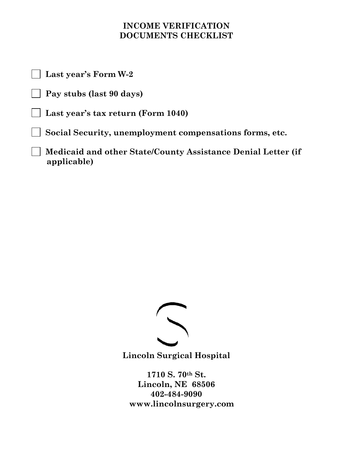## **INCOME VERIFICATION DOCUMENTS CHECKLIST**

 **Last year's Form W-2** 

 **Pay stubs (last 90 days)** 

 **Last year's tax return (Form 1040)** 

 **Social Security, unemployment compensations forms, etc.** 

 **Medicaid and other State/County Assistance Denial Letter (if applicable)** 



**Lincoln Surgical Hospital** 

**1710 S. 70th St. Lincoln, NE 68506 402-484-9090 www.lincolnsurgery.com**